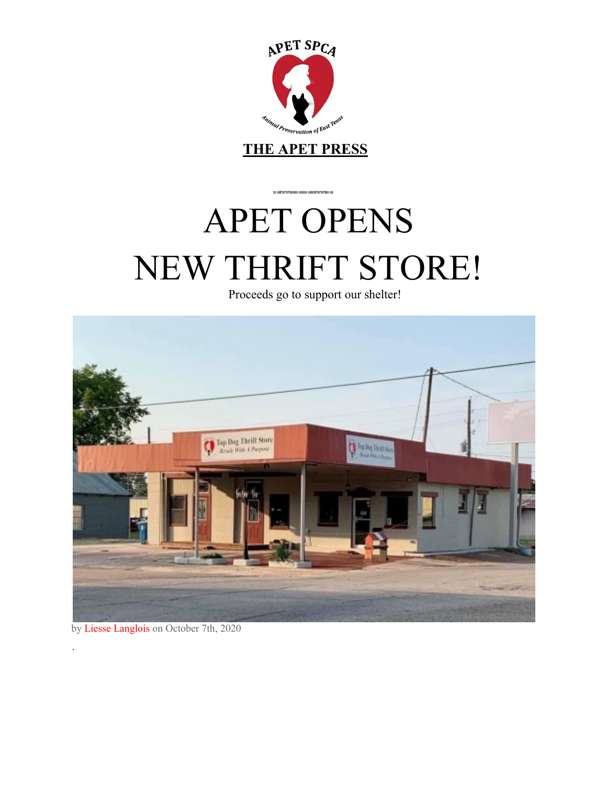

**THE APET PRESS**

 $\alpha$  and the following states and the following  $\alpha$ 

# APET OPENS NEW THRIFT STORE!

Proceeds go to support our shelter!



by Liesse Langlois on October 7th, 2020

.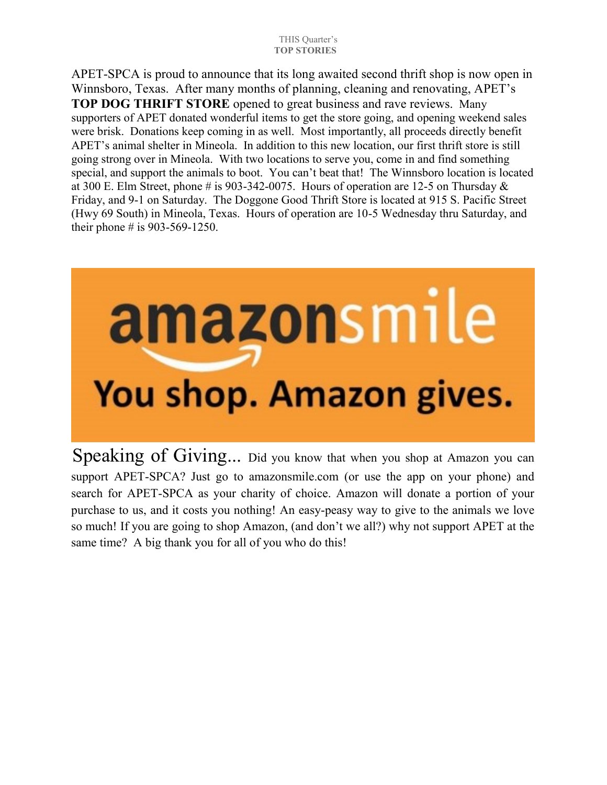#### THIS Quarter's  **TOP STORIES**

APET-SPCA is proud to announce that its long awaited second thrift shop is now open in Winnsboro, Texas. After many months of planning, cleaning and renovating, APET's **TOP DOG THRIFT STORE** opened to great business and rave reviews. Many supporters of APET donated wonderful items to get the store going, and opening weekend sales were brisk. Donations keep coming in as well. Most importantly, all proceeds directly benefit APET's animal shelter in Mineola. In addition to this new location, our first thrift store is still going strong over in Mineola. With two locations to serve you, come in and find something special, and support the animals to boot. You can't beat that!The Winnsboro location is located at 300 E. Elm Street, phone # is 903-342-0075. Hours of operation are 12-5 on Thursday  $\&$ Friday, and 9-1 on Saturday. The Doggone Good Thrift Store is located at 915 S. Pacific Street (Hwy 69 South) in Mineola, Texas. Hours of operation are 10-5 Wednesday thru Saturday, and their phone # is 903-569-1250.

# amazonsmile You shop. Amazon gives.

Speaking of Giving... Did you know that when you shop at Amazon you can support APET-SPCA? Just go to amazonsmile.com (or use the app on your phone) and search for APET-SPCA as your charity of choice. Amazon will donate a portion of your purchase to us, and it costs you nothing! An easy-peasy way to give to the animals we love so much! If you are going to shop Amazon, (and don't we all?) why not support APET at the same time? A big thank you for all of you who do this!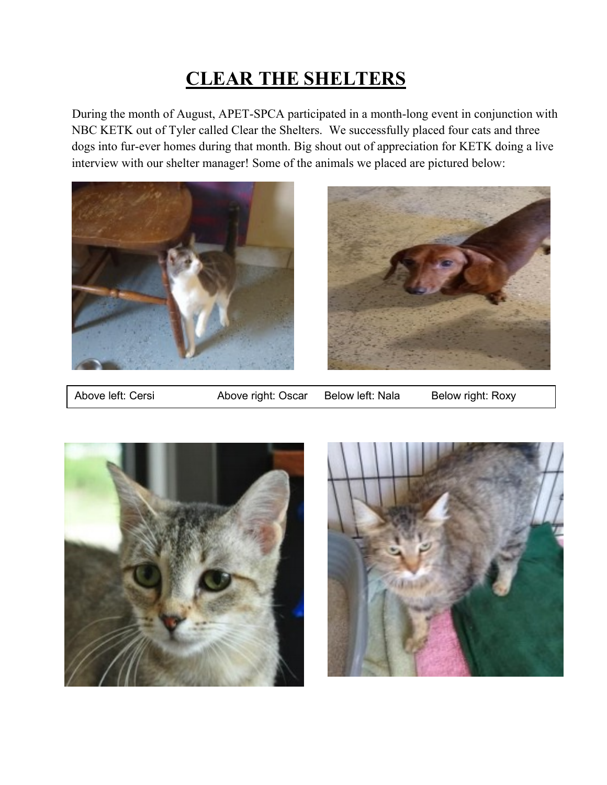## **CLEAR THE SHELTERS**

During the month of August, APET-SPCA participated in a month-long event in conjunction with NBC KETK out of Tyler called Clear the Shelters. We successfully placed four cats and three dogs into fur-ever homes during that month. Big shout out of appreciation for KETK doing a live interview with our shelter manager! Some of the animals we placed are pictured below:





Above left: Cersi **Above right: Oscar** Below left: Nala Below right: Roxy



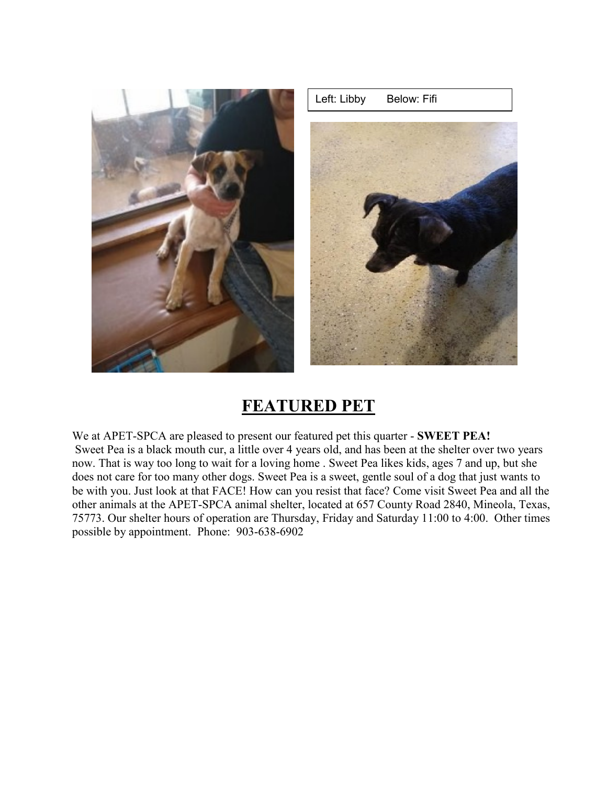

### **FEATURED PET**

We at APET-SPCA are pleased to present our featured pet this quarter - **SWEET PEA!** Sweet Pea is a black mouth cur, a little over 4 years old, and has been at the shelter over two years now. That is way too long to wait for a loving home . Sweet Pea likes kids, ages 7 and up, but she does not care for too many other dogs. Sweet Pea is a sweet, gentle soul of a dog that just wants to be with you. Just look at that FACE! How can you resist that face? Come visit Sweet Pea and all the other animals at the APET-SPCA animal shelter, located at 657 County Road 2840, Mineola, Texas, 75773. Our shelter hours of operation are Thursday, Friday and Saturday 11:00 to 4:00. Other times possible by appointment. Phone: 903-638-6902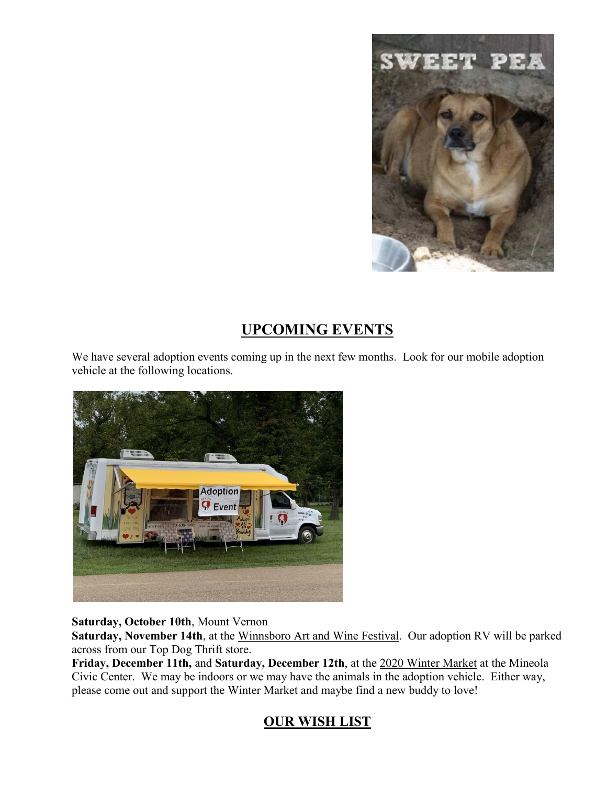

#### **UPCOMING EVENTS**

We have several adoption events coming up in the next few months. Look for our mobile adoption vehicle at the following locations.



#### **Saturday, October 10th**, Mount Vernon

**Saturday, November 14th**, at the Winnsboro Art and Wine Festival. Our adoption RV will be parked across from our Top Dog Thrift store.

**Friday, December 11th,** and **Saturday, December 12th**, at the 2020 Winter Market at the Mineola Civic Center. We may be indoors or we may have the animals in the adoption vehicle. Either way, please come out and support the Winter Market and maybe find a new buddy to love!

#### **OUR WISH LIST**